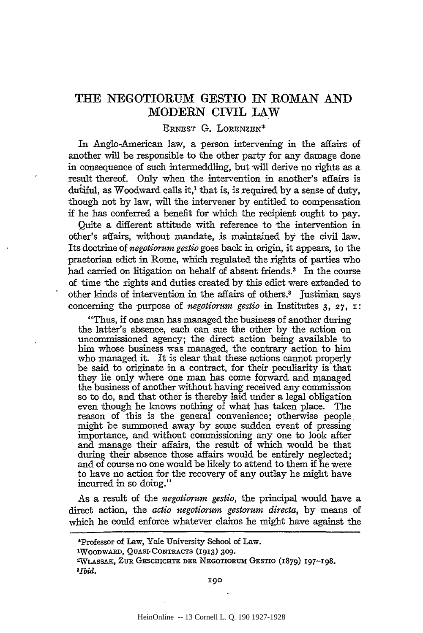## **THE NEGOTIORUM GESTIO IN ROMAN AND MODERN CIVIL LAW**

## ERNEST G. LORENZEN\*

In Anglo-American law, a person intervening in the affairs of another will be responsible to the other party for any damage done in consequence of such intermeddling, but will derive no rights as a result thereof. Only when the intervention in another's affairs is dutiful, as Woodward calls it,<sup>1</sup> that is, is required by a sense of duty, though not by law, will the intervener by entitled to compensation if he has conferred a benefit for which the recipient ought to pay.

Quite a different attitude with reference to the intervention in other's affairs, without mandate, is maintained by the civil law. Its doctrine of *negotiorum gestio* goes back in origin, it appears, to the praetorian edict in Rome, which regulated the rights of parties who had carried on litigation on behalf of absent friends.<sup>2</sup> In the course of time the rights and duties created by this edict were extended to other kinds of intervention in the affairs of others.<sup>3</sup> Justinian says concerning the purpose of *negotiorum gestio* in Institutes 3, *27,* I :

"Thus, if one man has managed the business of another during the latter's absence, each can sue the other by the action on uncommissioned agency; the direct action being available to him whose business was managed, the contrary action to him who managed it. It is clear that these actions cannot properly be said to originate in a contract, for their peculiarity is that they lie only where one man has come forward and managed the business of another without having received any commission so to do, and that other is thereby laid under a legal obligation even though he knows nothing of what has taken place. The reason of this is the general convenience; otherwise people. might be summoned away by some sudden event of pressing importance, and without commissioning any one to look after and manage their affairs, the result of which would be that during their absence those affairs would be entirely neglected; and of course no one would be likely to attend to them if he were to have no action for the recovery of any outlay he might have incurred in so doing."

As a result of the *negotiorum gestio,* the principal would have a direct action, the *actio negotiorum gestorum directa,* by means of which he could enforce whatever claims he might have against the

<sup>\*</sup>Professor of Law, Yale University School of Law. lWOODWARD, QUASI· CONTRACTS (1913) 309. 2WLASSAK, ZUR GESCHlCHTE DER NEGOTIORUM GESTIO (1879) 197-198. *3[1Jid.*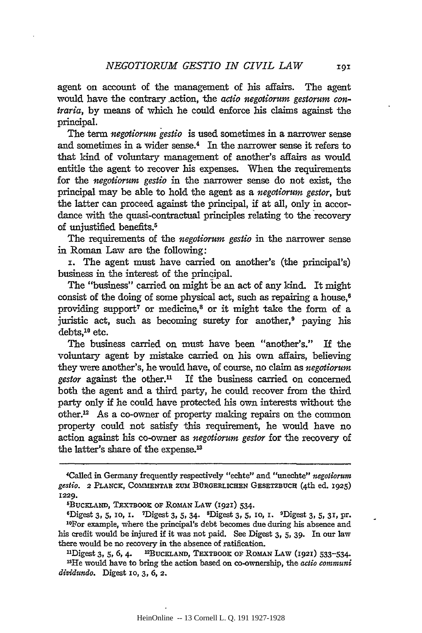agent on account of the management of his affairs. The agent would have the contrary .action, the *actio negotiorum gestorum contraria,* by means of which he could enforce his claims against the principal.

The term *negotiorum gestio* is used sometimes in a narrower sense and sometimes in a wider sense.<sup>4</sup> In the narrower sense it refers to that kind of voluntary management of another's affairs as would entitle the agent to recover his expenses. When the requirements for the *negotiorum gestio* in the narrower sense do not exist, the principal may be able to hold the agent as a *negotiorum gestor,* but the latter can proceed against the principal, if at all, only in accordance with the quasi-contractual principles relating to the recovery of unjustified benefits.5

The requirements of the *negotiorum gestio* in the narrower sense in Roman Law are the following:

I. The agent must have carried on another's (the principal's) business in the interest of the principal.

The "business" carried on might be an act of any kind. It might consist of the doing of some physical act, such as repairing a house.<sup>6</sup> providing support<sup>7</sup> or medicine,<sup>8</sup> or it might take the form of a juristic act, such as becoming surety for another, $9$  paying his  $debts<sup>10</sup>$  etc.

The business carried on must have been "another's." If the voluntary agent by mistake carried on his own affairs, believing they were another's, he would have, of course, no claim as *negotiorum*   $\ell$ *gestor* against the other.<sup>11</sup> If the business carried on concerned both the agent and a third party, he could recover from the third party only if he could have protected his own interests without the other.12 As a co-owner of property making repairs on the common property could not satisfy this requirement, he would have no action against his co-owner as *negotiorum gestor* for the recovery of the latter's share of the expense.<sup>13</sup>

<sup>4</sup>Called in Germany frequently respectively "echte" and "unechte" *negotiorum gestio.* 2 PLANCK, COMMENTAR ZUM BURGERLICHEN GESETZBUCH (4th ed. I925)

I229. <sup>6</sup>BUCKLAND, TEXTBOOK OF ROMAN LAW (I92I) 534. <sup>6</sup>Digest 3, 5, 10, I. <sup>9</sup>Digest 3, 5, 31, pr. 1° 9Digest 3, 5, 10, I. <sup>9</sup>Digest 3, 5, 31, pr. 1°For example, where the principal's debt becomes due during his absence his credit would be injured if it was not paid. See Digest 3, 5, 39. In our law there would be no recovery in the absence of ratification.<br> $^{11}$ Digest 3, 5, 6, 4.  $^{12}$ BUCELAND, TEXTBOOK OF ROMAN LAW (1921) 533-534.

<sup>&</sup>lt;sup>13</sup>He would have to bring the action based on co-ownership, the *actio communi dividundo.* Digest 10, 3, 6, 2.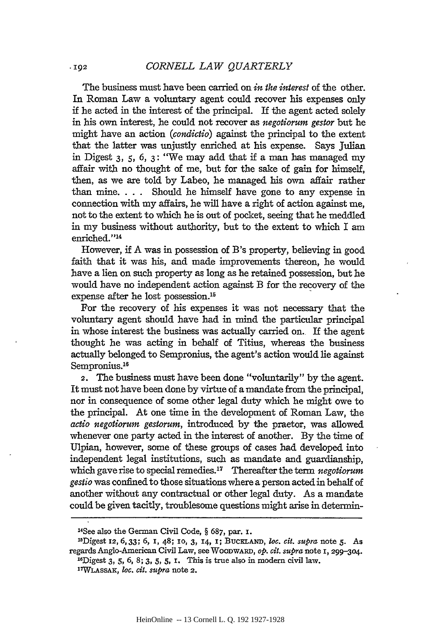The business must have been carried on *in the interest* of the other. In Roman Law a voluntary agent could recover his expenses only if he acted in the interest of the principal. If the agent acted solely in his own interest, he could not recover as *negotiorum gestor* but he might have an action *(condictio)* against the principal to the extent that the latter was unjustly enriched at his expense. Says Julian in Digest 3, 5, 6, 3: "We may add that if a man has managed my affair with no thought of me, but for the sake of gain for himself, then, as we are told by Labeo, he managed his own affair rather than mine. . . . Should he himself have gone to any expense in connection with my affairs, he will have a right of action against me, not to the extent to which he is out of pocket, seeing that he meddled in my business without authority, but to the extent to which I am enriched."<sup>14</sup>

However, if A was in possession of B's property, believing in good faith that it was his, and made improvements thereon, he would have a lien on such property as long as he retained possession, but he would have no independent action against B for the recovery of the expense after he lost possession.<sup>15</sup>

For the recovery of his expenses it was not necessary that the voluntary agent should have had in mind the particular principal in whose interest the business was actually carried on.. If the agent thought he was acting in behalf of Titius, whereas the business actually belonged to Sempronius, the agent's action would lie against Sempronius.<sup>16</sup>

2. The business must have been done "voluntarily" by the agent. It must not have been done by virtue of a mandate from the principal, nor in consequence of some other legal duty which he might owe to the principal. At one time in the development of Roman Law, the *actio negotiorum gestorum,* introduced by the praetor, was allowed whenever one party acted in the interest of another. By the time of Ulpian, however, some of these groups of cases had developed into independent legal institutions, such as mandate and guardianship, which gave rise to special remedies.17 Thereafter the term *negotiorum gestio* was confined to those situations where a person acted in behalf of another without any contractual or other legal duty. As a mandate could be given tacitly, troublesome questions might arise in determin-

 $-102$ 

<sup>14</sup>See also the German Civil Code,§ 687, par. I.

<sup>~</sup>Digest I2, 6, 33; 6, I, 48; IO, 3, I4, I; BucKLAND, *loc. cit. supra* note 5· As regards Anglo-American Civil Law, see WooDWARD, *op. cit. supra* note I, 299-304. 16Digest 3, 5, 6, 8; 3, 5, 5, I. This is true also in modern civil law.

I'TWLASSAK, *loc. cit. supra* note 2.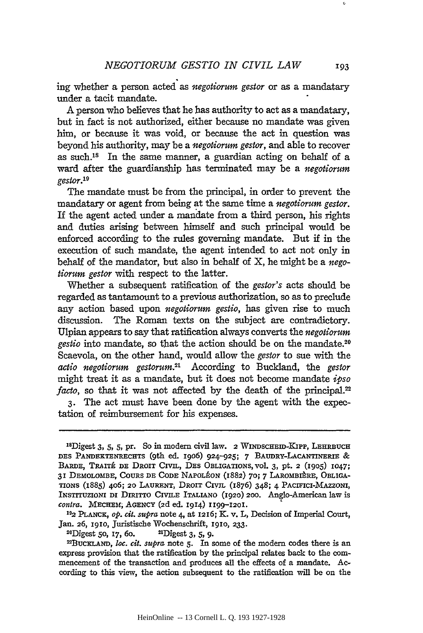ing whether a person acted as *negotiorum gestor* or as a mandatary under a tacit mandate.

A person who believes that he has authority to act as a mandatary, but in fact is not authorized, either because no mandate was given him, or because it was void, or because the act in question was beyond his authority, may be a *negotiorum gestor,* and able to recover as such.18 In the same manner, a guardian acting on behalf of a ward after the guardianship has terminated may be a *negotiorum gestor.19* 

The mandate must be from the principal, in order to prevent the mandatary or agent from being at the same time a *negotiorum gestor.*  If the agent acted under a mandate from a third person, his rights and duties arising between himself and such principal would be enforced according to the rules governing mandate. But if in the execution of such mandate, the agent intended to act not only in behalf of the mandator, but also in behalf of X, he might be a *negotiorum gestor* with respect to the latter.

Whether a subsequent ratification of the *gestor's* acts should be regarded as tantamount to a previous authorization, so as to preclude any action based upon *negotiorum gestio,* has given rise to much discussion. The Roman texts on the subject are contradictory. Ulpian appears to say that ratification always converts the *negotiorum gestio* into mandate, so that the action should be on the mandate.<sup>20</sup> Scaevola, on the other hand, would allow the *gestor* to sue with the *actio negotiorum gestorum.21* According to Buckland, the *gestor*  might treat it as a mandate, but it does not become mandate *ipso facto*, so that it was not affected by the death of the principal.<sup>22</sup> 3. The act must have been done by the agent with the expec-

tation of reimbursement for his expenses.

*contra.* MECHEM; AGENCY (2d ed. 1914) 1199–1201.<br><sup>19</sup>2 PLANCK, *op. cit. supra* note 4, at 1216; K. v. L, Decision of Imperial Court, Jan. 26, 1910, Juristische Wochenschrift, 1910, 233.

<sup>20</sup>Digest 50, 17, 60. <sup>21</sup>Digest 3, 5, 9.<br><sup>22</sup>BucKLAND, *loc. cit. supra* note 5. In some of the modern codes there is an express provision that the ratification by the principal relates back to the commencement of the transaction and produces all the effects of a mandate. According to this view, the action subsequent to the ratification will be on the

<sup>18</sup>Digest 3, s, s, pr. So in modern civil law. 2 WINDSCHEm~KIPP, LEHRBUCH DES PANDEKTENRECHTS (9th ed. 1906) 924-925; 7 BAUDRY-LACANTINERIE & BARDE, TRAITÉ DE DROIT CIVIL, DES OBLIGATIONS, vol. 3, pt. 2 (1905) 1047; 31 DEMOLOMBE, COURS DE CODE NAPOLEON (1882) 70; 7 LAROMBIERE, 0BL1GA-TIONS (1885) 406; 20 LAURENT, DROIT CIVIL (1876) 348; 4 PACIFICI-MAZZONI, INSTITUZIONI DI DIRITTO CIVILE ITALIANO (1920) 200. Anglo-American law is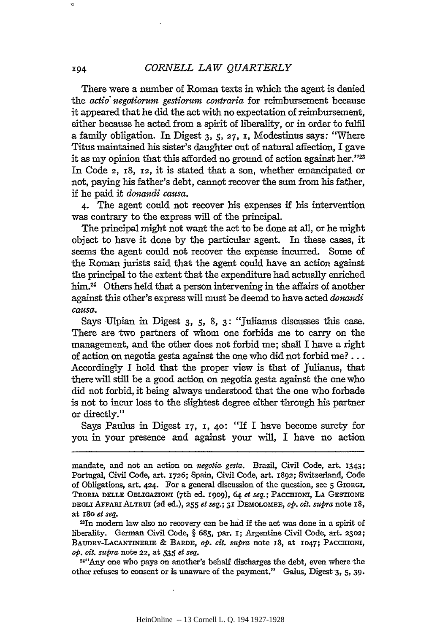There were a number of Roman texts in which the agent is denied the *actio" negotiorum gestiorum contraria* for reimbursement because it appeared that he did the act with no expectation of reimbursement, either because he acted from a spirit of liberality, or in order to fulfil a family obligation. In Digest 3, 5, 27, I, Modestinus says: "Where Titus maintained his sister's daughter out of natural affection, I gave it as my opinion that this afforded no ground of action against her."23 In Code 2, I8, I2, it is stated that a son, whether emancipated or not, paying his father's debt, cannot recover the sum from his father, if he paid it *donandi causa.* 

4· The agent could not recover his expenses if his intervention was contrary to the express will of the principal.

The principal might not want the act to be done at all, or he might object to have it done by the particular agent. In these cases, it seems the agent could not recover the expense incurred. Some of the Roman jurists said that the agent could have an action against the principal to the extent that the expenditure had actually enriched him.<sup>24</sup> Others held that a person intervening in the affairs of another against this other's express will must be deemd to have acted *donandi causa.* 

Says Ulpian in Digest 3, 5, 8, 3: "Julianus discusses this case. There are two partners of whom one forbids me to carry on the management, and the other does not forbid me; shall I have a right of action on negotia gesta against the one who did not forbid me? ... Accordingly I hold that the proper view is that of Julianus, that there will still be a good action on negotia gesta against the one who did not forbid, it being always understood that the one who forbade is not to incur loss to the slightest degree either through his partner or directly."

Says Paulus in Digest  $_7$ ,  $_1$ ,  $_4$ o: "If I have become surety for you in your presence and against your will, I have no action

23!n modern law also no recovery can be had if the act was done in a spirit of liberality. German Civil Code, § 685, par. I; Argentine Civil Code, art. 2302; BAUDRY-LACANTINERIE & BARDE, *op. cit. supra* note I8, at I047i PACCHIONI, *op. cit. supra* note 22, at 535 *et seq.* 

24"Any one who pays on another's behalf discharges the debt, even where the other refuses to consent or is unaware of the payment." Gaius, Digest·3, 5, 39·

ø

mandate, and not an action on *negotia gesta.* Brazil, Civil Code, art. I343; Portugal, Civil Code, art. I726; Spain, Civil Code, art. I892; Switzerland, Code of Obligations, art. 424· For a general discussion of the question, see 5 GIORGI, TEORIA DELLE 0BLIGAZIONI (7th ed. I909), 64 *et seq.;* PACCHIONI, LA GESTIONE DEGLI AFFARI ALTRUI (2d ed.), 255 *et seq.;* 3I DEMOLOMBE, *op. cit. supra* note I8, at I8o *et seq.*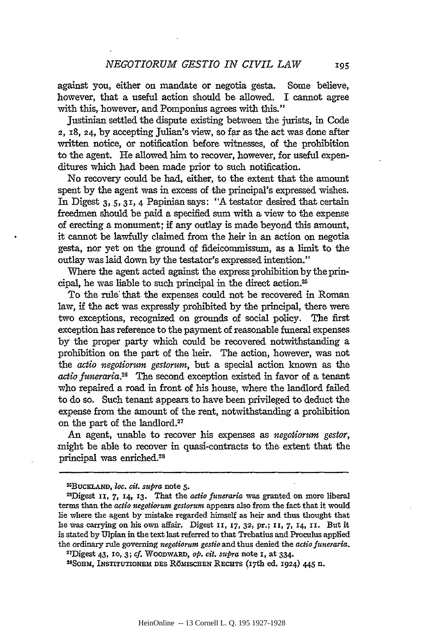against you, either on mandate or negotia gesta. Some believe, however, that a useful action should be allowed. I cannot agree with this, however, and Pomponius agrees with this."

Justinian settled the dispute existing between the jurists, in Code  $2, 18, 24$ , by accepting Julian's view, so far as the act was done after written notice, or notification before witnesses, of the prohibition to the agent. He allowed him to recover, however, for useful expenditures which had been made prior to such notification.

No recovery could be had, either, to the extent that the amount spent by the agent was in excess of the principal's expressed wishes. In Digest 3, 5, 31, 4 Papinian says: "A testator desired that certain freedmen should be paid a specified sum with a view to the expense of erecting a monument; if any outlay is made beyond this amount, it cannot be lawfully claimed from the heir in an action on negotia gesta, nor yet on the ground Qf fideicommissum, as a limit to the outlay was laid down by the testator's expressed intention."

Where the agent acted against the express prohibition by the principal, he was liable to such principal in the direct action.25

To the rule that the expenses could not be recovered in Roman law, if the act was expressly prohibited by the principal, there were two exceptions, recognized on grounds of social policy. The first exception has reference to the payment of reasonable funeral expenses by the proper party which could be recovered notwithstanding a prohibition on the part of the heir. The action, however, was not the *actio negotiorum gestorum,* but a special action known as the *actio juneraria.26* The second exception existed in favor of a tenant who repaired a road in front of his house, where the landlord failed to do so. Such tenant appears to have been privileged to deduct the expense from the amount of the rent, notwithstanding a prohibition on the part of the landlord.27

An agent, unable to recover his expenses as *negotiorum gestor,*  might be able to recover in quasi-contracts to the extent that the principal was enriched.2s

<sup>28</sup>SOHM, INSTITUTIONEM DES RÖMISCHEN RECHTS (17th ed. 1924) 445 n.

<sup>2</sup>SBUCKLAND, *loc. cit. supra* note 5· 26Digest II, 7, 14, 13. That the *actio funeraria* was granted on more liberal terms than the *actio negotiorum gestorum* appears also from the fact that it would lie where the agent by mistake regarded himself as heir and thus thought that he was carrying on his own affair. Digest II, 17, 32, pr.; II, 7, 14, II. But it is stated by Ulpian in the text last referred to that Trebatius and Proculus applied the ordinary rule governing *negotiorum gestio* and thus denied the *actio funeraria.* 

<sup>21</sup>Digest 43, IO, 3; *cf.* WOODWARD, *op. cit. supra* note I, at 334·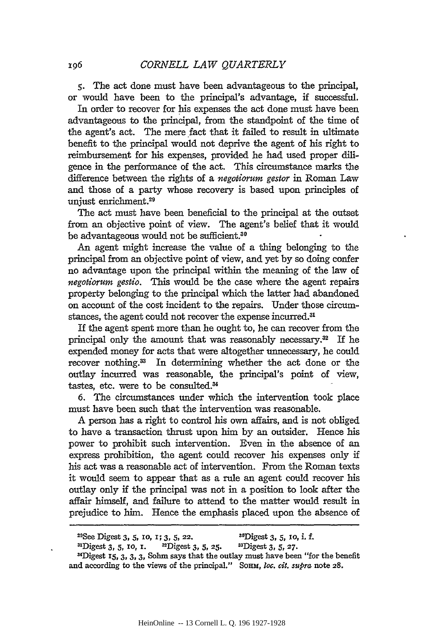s. The act done must have been advantageous to the principal, or would have been to the principal's advantage, if successful.

In order to recover for his expenses the act done must have been advantageous to the principal, from the standpoint of the time of the agent's act. The mere fact that it failed to result in ultimate benefit to the principal would not deprive the agent of his right to reimbursement for his expenses, provided he had used proper diligence in the performance of the act. This circumstance marks the difference between the rights of a *negotiorum gestor* in Roman Law and those of a party whose recovery is based upon principles of unjust enrichment.<sup>29</sup>

The act must have been beneficial to the principal at the outset from an objective point of view. The agent's belief that it would be advantageous would not be sufficient.30

An agent might increase the value of a thing belonging to the principal from an objective point of view, and yet by so doing confer no advantage upon the principal within the meaning of the law of *negotiorum gestio.* This would be the case where the agent repairs property belonging to the principal which the latter had abandoned on account of the cost incident to the repairs. Under those circumstances, the agent could not recover the expense incurred.<sup>31</sup>

If the agent spent more than he ought to, he can recover from the principal only the amount that was reasonably necessary.32 If he expended money for acts that were altogether unnecessary, he could recover nothing.<sup>33</sup> In determining whether the act done or the outlay incurred was reasonable, the principal's point of view, tastes, etc. were to be consulted.<sup>34</sup>

6. The circumstances under which the intervention took place must have been such that the intervention was reasonable.

A person has a right to control his own affairs, and is not obliged to have a transaction thrust upon him by an outsider. Hence his power to prohibit such intervention. Even in the absence of an express prohibition, the agent could recover his expenses only if his act was a reasonable act of intervention. From the Roman texts it would seem to appear that as a rule an agent could recover his outlay only if the principal was not in a position to look after the affair himself, and failure to attend to the matter would result in prejudice to him. Hence the emphasis placed upon the absence of

<sup>&</sup>lt;sup>29</sup>See Digest 3, 5, 10, 1; 3, 5, 22. <sup>30</sup>Digest 3, 5, 10, i. f.

<sup>&</sup>lt;sup>31</sup>Digest 3, 5, 10, 1. <sup>32</sup>Digest 3, 5, 25. <sup>33</sup>Digest 3, 5, 27. 31Digest 15, 3, 3, 3, Sohm says that the outlay must have been "for the benefit" and according to the views of the principal." SoHM, *loc. cit. supra* note 28.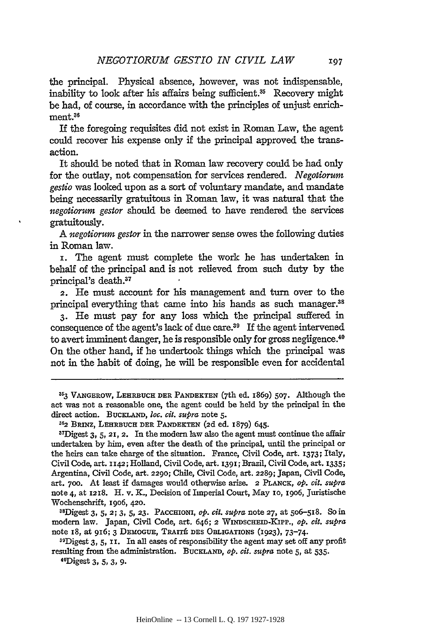the principal. Physical absence, however, was not indispensable, inability to look after his affairs being sufficient.<sup>35</sup> Recovery might be had, of course, in accordance with the principles of unjust enrichment.36

If the foregoing requisites did not exist in Roman Law, the agent could recover his expense only if the principal approved the transaction.

It should be noted that in Roman law recovery could be had only for the outlay, not compensation for services rendered. *Negotiorum gestio* was looked upon as a sort of voluntary mandate, and mandate being necessarily gratuitous in Roman law, it was natural that the *negotiorum gestor* should be deemed to have rendered the services gratuitously.

A *negotiorum gestor* in the narrower sense owes the following duties in Roman law.

I. The agent must complete the work he has undertaken in behalf of the principal and is not relieved from such duty by the principal's death.37

2. He must account for his management and tum over to the principal everything that came into his hands as such manager.<sup>38</sup>

3· He must pay for any loss which the principal suffered in consequence of the agent's lack of due care.<sup>39</sup> If the agent intervened to avert imminent danger, he is responsible only for gross negligence.40 On the other hand, if he undertook things which the principal was not in the habit of doing, he will be responsible even for accidental

38Digest 3, 5, 2; 3, 5, 23. PAccmoNI, *op. cit. supra* note 27, at 506-5I8. So in modem law. Japan, Civil Code, art. 646; 2 VVINDSCHEID-KIPP., *op. cit. supra*  note I8, at 9I6; 3 DEMOGUE, TRAITE DES OBLIGATIONS (I923), 73-74.

<sup>353</sup> VANGEROW, LEHRBUCH DER PANDEKTEN (7th ed. I869) 507. Although the act was not a reasonable one, the agent could be held by the principal in the direct action. BUCKLAND, loc. cit. supra note 5.

<sup>36</sup> 2 BRINZ, LEHRBUCH DER PANDEKTEN (2d ed. I879) 645.

 $37$ Digest 3, 5, 21, 2. In the modern law also the agent must continue the affair undertaken by him, even after the death of the principal, until the principal or the heirs can take charge of the situation. France, Civil Code, art. I373; Italy, Civil Code, art. n42; Holland, Civil Code, art. I39I; Brazil, Civil Code, art. I335; Argentina, Civil Code, art. 2290; Chile, Civil Code, art. 2289; Japan, Civil Code, art. 700. At least if damages would otherwise arise. 2 PLANCK, *op. cit. supra*  note 4, at I2I8. H. v. K., Decision of Imperial Court, May IO, I906, Juristische Wochenschrift, 1906, 420.

<sup>39</sup>Digest 3, 5, II. In all eases of responsibility the agent may set off any profit resulting from the administration. BuckLAND, *op. cit. supra* note 5, at 535.<br>
"Digest 3, 5, 3, 9.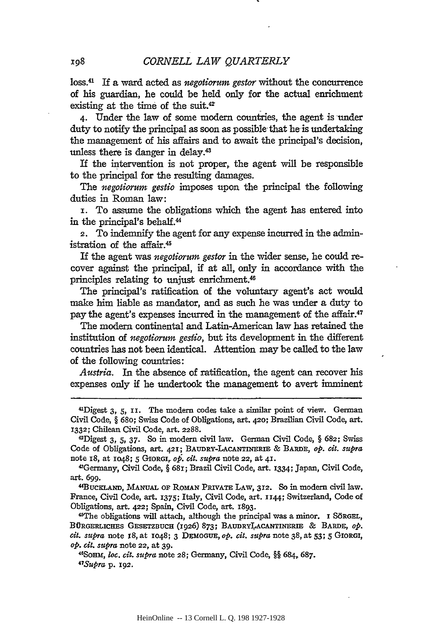loss.41 If a ward acted as *negotiorum gestor* without the concurrence of his guardian, he could be held only for the actual enrichment existing at the time of the suit. *4Z* \_

4· Under the law of some modern countries, the agent is under duty to notify the principal as soon as possible that he is undertaking the management of his affairs and to await the principal's decision, unless there is danger in delay.43

If the intervention is not proper, the agent will be responsible to the principal for the resulting damages.

The *negotiorum gestio* imposes upon the principal the following duties in Roman law:

I. To assume the obligations which the agent has entered into in the principal's behal£.<sup>44</sup>

2. To indemnify the agent for any expense incurred in the administration of the affair.45

If the agent was *negotiorum gestor* in the wider sense, he could recover against the principal, if at all, only in accordance with the principles relating to unjust enrichment.46

The principal's ratification of the voluntary agent's act would make him liable as mandator, and as such he was under a duty to pay the agent's expenses incurred in the management of the affair.<sup>47</sup>

The modern continental and Latin-American law has retained the institution of *negotiorum gestio,* but its development in the different countries has not been identical. Attention may be called to the law of the following countries:

*Austria.* In the absence of ratification, the agent can recover his expenses only if he undertook the management to avert imminent

Code of Obligations, art. 42I; BAUDRY-LACANTINERIE & BARDE, *op. cit. supra*  note IS, at I048; 5 GIORGI, *op. cit. supra* note 22, at 4I.

<sup>43</sup>Germany, Civil Code,§ 68I; Brazil Civil Code, art. I334; Japan, Civil Code, art. 699·

«BucKLAND, MANUAL OF RoMAN PRIVATE LAW, 3I2. So in modern civil law. France, Civil Code, art. I37S; Italy, Civil Code, art. 1144; Switzerland, Code of Obligations, art. 422; Spain, Civil Code, art. I893·

~he obligations will attach, although the principal was a minor. I SoRGEL, BÜRGERLICHES GESETZBUCH (1926) 873; BAUDRYLACANTINERIE & BARDE, op. *cit. supra* note 18, at I048; 3 DEMOGUE, *op. cit. suPra* note 38, at 53; 5 GIORGI, *op. cit. supra* note 22, at 39·

46SoHM, *loc. cit. supra* note 28; Germany, Civil Code, §§ 684. 687. *47Supra* p. 192.

<sup>41</sup>Digest 3, 5, 11. The modern codes take a similar point of view. German Civil Code, § 68o; Swiss Code of Obligations, art. 420; Brazilian Civil Code, art. I332; Chilean Civil Code, art. 2288.<br>
<sup>42</sup>Digest 3, 5, 37. So in modern civil law. German Civil Code, § 682; Swiss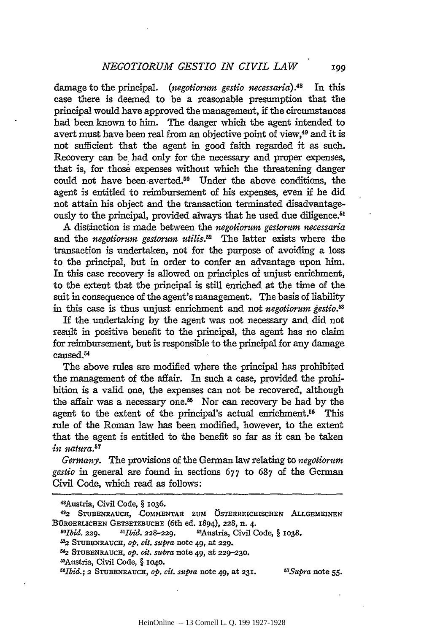damage to the principal. *(negotiorum gestio necessaria).48* In this case there is deemed to be a reasonable presumption that the principal would have approved the management, if the circumstances had been known to him. The danger which the agent intended to avert must have been real from an objective point of view,49 and it is not sufficient that the agent in good faith regarded it as such. Recovery can be had only for the necessary and proper expenses, that is, for .those expenses without which the threatening danger could not have been-averted.<sup>50</sup> Under the above conditions, the agent is entitled to reimbursement of his expenses, even if he did not attain his object and the transaction terminated disadvantageously to the principal, provided always that he used due diligence.<sup>51</sup>

A distinction is made between the *negotiorum gestorum necessaria*  and the *negotiorum gestorum utilis.52* The latter exists where the transaction is undertaken, not for the purpose of avoiding a loss to the principal, but in order to confer an advantage upon him. In this case recovery is allowed on principles of unjust enrichment, to the extent that the principal is still enriched at the time of the suit in consequence of the agent's management. The basis of liability in this case is thus unjust enrichment and not *negotiorum gestio,&* 

If the undertaking by the agent was not necessary and did not result in positive benefit to the principal, the agent has no claim for reimbursement, but is responsible to the principal for any damage caused.<sup>54</sup>

The above rules are modified where the principal has prohibited the management of the affair. In such a case, provided the prohibition is a valid one, the expenses can not be recovered, although the affair was a necessary one.<sup>55</sup> Nor can recovery be had by the agent to the extent of the principal's actual enrichment.<sup>56</sup> This rule of the Roman law has been modified, however, to the extent that the agent is entitled to the benefit so far as it can be taken *in natura.57* 

*Germany.* The provisions of the German law relating to *negotiorum gestio* in general are found in sections 677 to 687 of the German Civil Code, which read as follows:

<sup>4</sup>BAustria, Civil Code, § 1036.

<sup>492</sup> STUBENRAUCH, COMMENTAR ZUM ÖSTERREICHISCHEN ALLGEMEINEN BÜRGERLICHEN GETSETZBUCHE (6th ed. 1894), 228, n. 4.<br><sup>50</sup>Ibid. 229. <sup>51</sup>Ibid. 228–229. <sup>52</sup>Austria, Civil C

*<sup>60</sup>Jbid.* 229. *61Jbid.* 228-229. 62Austria, Civil Code, § 1038.

<sup>632</sup> STUBENRAUCH, *op. cit. suPra* note 49, at 229.

<sup>~</sup> STUBENRAUCH, *op. cit. su-bra* note 49, at 229-230.

MAustria, Civil Code, § 1040.

<sup>66</sup>Ibid.; 2 STUBENRAUCH, *op. cit. suPra* note 49, at 231. *67Supya* note 55·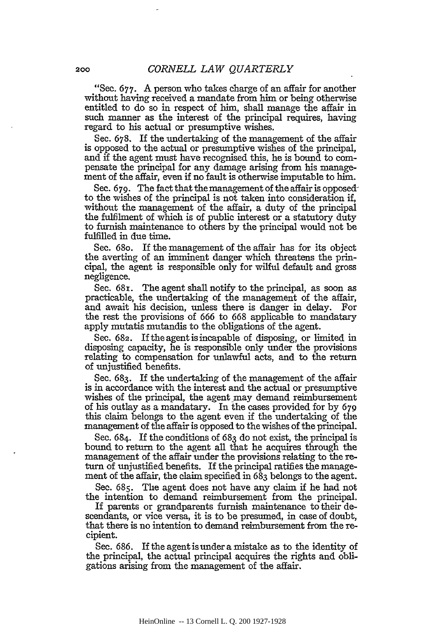"Sec. 677. A person who takes charge of an affair for another without having received a mandate from him or being otherwise entitled to do so in respect of him, shall manage the affair in such manner as the interest of the principal requires, having regard to his actual or presumptive wishes.

Sec. 678. If the undertaking of the management of the affair is opposed to the actual or presumptive wishes of the principal, and if the agent must have recognised this, he is bound to compensate the principal for any damage arising from his management of the affair, even if no fault is otherwise imputable to him.

Sec. 679. The fact that the management of the affair is opposedto the wishes of the principal is not taken into consideration if, without the management of the affair, a duty of the principal the fulfilment of which is of public interest or a statutory duty to furnish maintenance to others by the principal would not be fulfilled in due time.

Sec. 68o. If the management of the affair has for its object the averting of an imminent danger which threatens the principal, the agent is responsible only for wilful default and gross negligence.

Sec.  $68r$ . The agent shall notify to the principal, as soon as practicable, the undertaking of the management of the affair, and await his decision, unless there is danger in delay. For the rest the provisions of 666 to 668 applicable to mandatary apply mutatis mutandis to the obligations of the agent.

Sec. 682. If the agent is incapable of disposing, or limited in disposing capacity, he is responsible only under the provisions relating to compensation for unlawful acts, and to the return of unjustified benefits.

Sec. 683. If the undertaking of the management of the affair is in accordance with the interest and the actual or presumptive wishes of the principal, the agent may demand reimbursement of his outlay as a mandatary. In the cases provided for by 679 this claim belongs to the agent even if the undertaking of the management of the affair is opposed to the wishes of the principal.

Sec. 684. If the conditions of 683 do not exist, the principal is bound to return to the agent all that he acquires through the management of the affair under the provisions relating to the return of unjustified benefits. If the principal ratifies the management of the affair, the claim specified in 683 belongs to the agent.

Sec. 685. The agent does not have any claim if he had not the intention to demand reimbursement from the principal.

If parents or grandparents furnish maintenance to their descendants, or vice versa, it is to be presumed, in case of doubt, that there is no intention to demand reimbursement from the recipient.

Sec. 686. If the agentisundera mistake as to the identity of the principal, the actual principal acquires the rights and obligations arising from the management of the affair.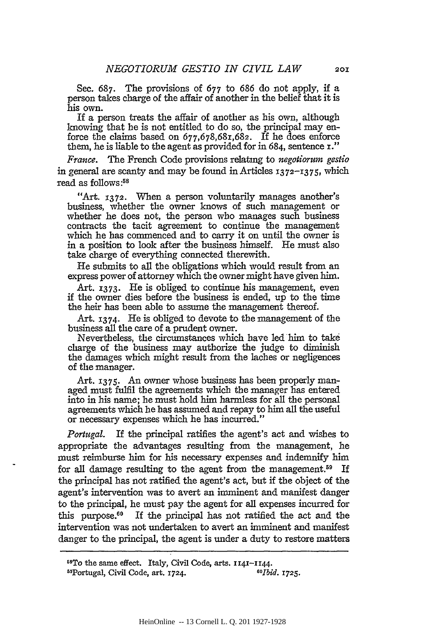Sec. 687. The provisions of 677 to 686 do not apply, if a person takes charge of the affair of another in the belief that it is his own.

If a person treats the affair of another as his own, although knowing that he is not entitled to do so, the principal may enforce the claims based on 677,678,68t,682. If he does enforce them, he is liable to the agent as provided for in 684, sentence I."

*France.* The French Code provisions relatmg to *negotiorum gestio*  in general are scanty and may be found in Articles 1372-I375, which read as follows : 58

"Art. 1372. When a person voluntarily manages another's business, whether the owner knows of such management or whether he does not, the person who manages such business contracts the tacit agreement to continue the management which he has commenced and to carry it on until the owner is in a position to look after the business himself. He must also take charge of everything connected therewith.

He submits to all the obligations which would result from an express power of attorney which the owner might have given him.

Art. 1373. He is obliged to continue his management, even if the owner dies before the business is ended, up to the time the heir has been able to assume the management thereof.

Art. 1374. He is obliged to devote to the management of the business all the care of a prudent owner.

Nevertheless, the circumstances which have led him to take charge of the business may authorize the judge to diminish the damages which might result from the laches or negligences of the manager.

Art. 1375. An owner whose business has been properly managed must fulfil the agreements which the manager has entered into in his name; he must hold him harmless for all the personal agreements which he has assumed and repay to him all the useful or necessary expenses which he has incurred."

*Portugal.* If the principal ratifies the agent's act and wishes to appropriate the advantages resulting from the management, he must reimburse him for his necessary expenses and indemnify him for all damage resulting to the agent from the management.<sup>59</sup> If the principal has not ratified the agent's act, but if the object of the agent's intervention was to avert an imminent and manifest danger to the principal, he must pay the agent for all expenses incurred for this purpose. $60$  If the principal has not ratified the act and the intervention was not undertaken to avert an imminent and manifest danger to the principal, the agent is under a duty to restore matters

<sup>68</sup>To the same effect. Italy, Civil Code, arts. II41-1144. 69Portugal, Civil Code, art. 1724. *60lbid.* 1725.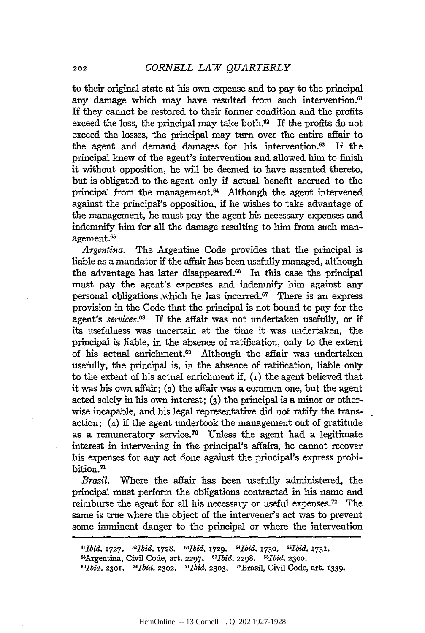to their original state at his own expense and to pay to the principal any damage which may have resulted from such intervention.<sup>61</sup> If they cannot be restored to their former condition and the profits exceed the loss, the principal may take both. $^{62}$  If the profits do not exceed the losses, the principal may tum over the entire affair to the agent and demand damages for his intervention. $^{63}$  If the principal knew of the agent's intervention and allowed him to finish it without opposition, he will be deemed to have assented thereto, but is obligated to the agent only if actual benefit accrued to the principal from the management.<sup>64</sup> Although the agent intervened against the principal's opposition, if he wishes to take advantage of the management, he must pay the agent his necessary expenses and indemnify him for all the damage resulting to him from such management.65

*Argentina.* The Argentine Code provides that the principal is liable as a mandator if the affair has been usefully managed, although the advantage has later disappeared. $66$  In this case the principal must pay the agent's expenses and indemnify him against any personal obligations which he has incurred.<sup>67</sup> There is an express provision in the Code that the principal is not bound to pay for the agent's *services.68* If the affair was not undertaken usefully, or if its usefulness was uncertain at the time it was undertaken, the principal is liable, in the absence of ratification, only to the extent of his actual enrichment.<sup>69</sup> Although the affair was undertaken usefully, the principal is, in the absence of ratification, liable only to the extent of his actual enrichment if, (r) the agent believed that it was his own affair; (2) the affair was a common one, but the agent acted solely in his own interest; (3) the principal is a minor or otherwise incapable, and his legal representative did not ratify the transaction; (4) if the agent undertook the management out of gratitude as a remuneratory service.70 Unless the agent had a legitimate interest in intervening in the principal's affairs, he cannot recover his expenses for any act done against the principal's express prohibition.71

*Brazil.* Where the affair has been usefully administered, the principal must perform the obligations contracted in his name and reimburse the agent for all his necessary or useful expenses.<sup>72</sup> The same is true where the object of the intervener's act was to prevent some imminent danger to the principal or where the intervention

*61Jbid.* 1727. *62Jbid.* 1728. *63Jbid.* 1729. *64Jbid.* 1730. *65liJid.* 1731. <sup>66</sup>Argentina, Civil Code, art. 2297. *67Ibid.* 2298. 68*Ibid.* 2300. *69Jbid.* 2301. *70Ibid.* 2302. *71Jbid.* 2303. 72Brazil, Civil Code, art. 1339.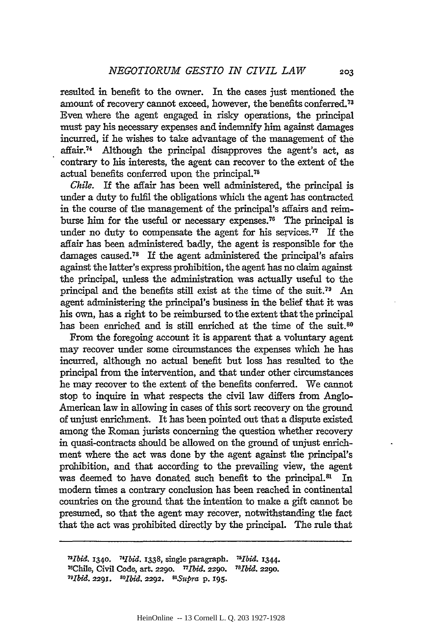resulted in benefit to the owner. In the cases just mentioned the amount of recovery cannot exceed, however, the benefits conferred. <sup>73</sup> Even where the agent engaged in risky operations, the principal must pay his necessary expenses and indemnify him against damages incurred, if he wishes to take advantage of the management of the affair. 74 Although the principal disapproves the agent's act, as contrary to his interests, the agent can recover to the extent of the actual benefits conferred upon the principal.<sup>75</sup>

Chile. If the affair has been well administered, the principal is under a duty to fulfil the obligations which the agent has contracted in the course of the management of the principal's affairs and reimburse him for the useful or necessary expenses.<sup>76</sup> The principal is under no duty to compensate the agent for his services. $77$  If the affair has been administered badly, the agent is responsible for the damages caused.<sup>78</sup> If the agent administered the principal's afairs against the latter's express prohibition, the agent has no claim against the principal, unless the administration was actually useful to the principal and the benefits still exist at the time of the suit.<sup>79</sup> An agent administering the principal's business in the belief that it was his own, has a right to be reimbursed to the extent that the principal has been enriched and is still enriched at the time of the suit.<sup>80</sup>

From the foregoing account it is apparent that a voluntary agent may recover under some circumstances the expenses which he has incurred, although no actual benefit but loss has resulted to the principal from the intervention, and that under other circumstances he may recover to the extent of the benefits conferred. We cannot stop to inquire in what respects the civil law differs from Anglo-American law in allowing in cases of this sort recovery on the ground of unjust enrichment. It has been pointed out that a dispute existed among the Roman jurists concerning the question whether recovery in quasi-contracts should be allowed on the ground of unjust enrichment where the act was done by the agent against the principal's prohibition, and that according to the prevailing view, the agent was deemed to have donated such benefit to the principal.<sup>81</sup> In modem times a contrary conclusion has been reached in continental countries on the ground that the intention to make a gift cannot be presumed, so that the agent may recover, notwithstanding the fact that the act was prohibited directly by the principal. The rule that

*73Ibid.* 1340. *14/bid.* 1338, single paragraph. *15Ibid.* 1344. 76Chile, Civil Code, art. 2290. 77IlJid. 2290. *18Ibid.* 2290. 79[lJid. 2291. *BO[lJid.* 2292. *B1* Supra p. 195·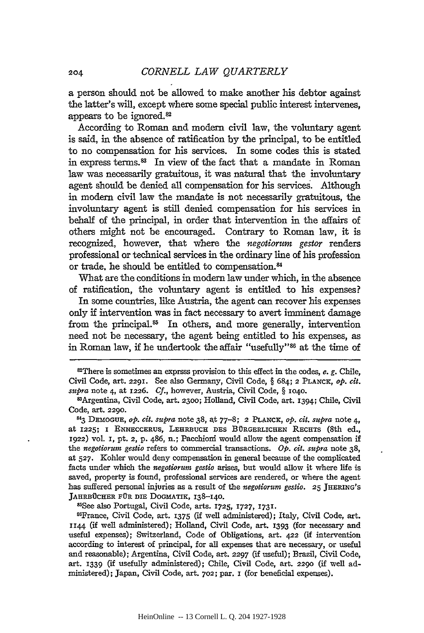a person should not be allowed to make another his debtor against the latter's will, except where some special public interest intervenes, appears to be ignored. 82

According to Roman and modern civil law, the voluntary agent is said, in the absence of ratification by the principal, to be entitled to no compensation for his services. In some codes this is stated in express terms. 83 In view of the fact that a mandate in Roman law was necessarily gratuitous, it was natural that the involuntary agent should be denied all compensation for his services. Although in modem civil law the mandate is not necessarily gratuitous, the involuntary agent is still denied compensation for his services in behalf of the principal, in order that intervention in the affairs of others might not be encouraged. Contrary to Roman law, it is recognized, however, that where the negotiorum gestor renders professional or technical services in the ordinary line of his profession or trade, he should be entitled to compensation. 84

What are the conditions in modem law under which, in the absence of ratification, the voluntary agent is entitled to his expenses?

In some countries, like Austria, the agent can recover his expenses only if intervention was in fact necessary to avert imminent damage from the principal.<sup>85</sup> In others, and more generally, intervention need not be necessary, the agent being entitled to his expenses, as in Roman law, if he undertook the affair "usefully"86 at the time of

82There is sometimes an exprsss provision to this effect in the codes, *e.* g. Chile, Civil Code, art. 229I. See also Germany, Civil Code, § 684; 2 PLANCK, *op. cit. supra* note 4, at I226. Cf., however, Austria, Civil Code, § I040. 83Argentina, Civil Code, art. 2300; Holland, Civil Code, art. I394i Chile, Civil

Code, art. 2290.

<sup>84</sup>3 DEMOGUE, *op. cit. supra* note 38, at 77-8; 2 PLANCK, *op. cit. supra* note 4, at I225; I ENNECCERUS, LEHRBUCH DES BURGERLICHEN RECHTS (8th ed., I922) vol. I, pt. 2, p. 486, n.; Pacchioni would allow the agent compensation if the *negotiorum gestio* refers to commercial transactions. *Op. cit. supra* note 38, at 527. Kohler would deny compensation in general because of the complicated facts under which the *negotiorum gestio* arises, but would allow it where life is saved, property is found, professional services are rendered, or where the agent has suffered personal injuries as a result of the *negotiorum gestio*. 25 JHERING's JAHRBÜCHER FÜR DIE DOGMATIK, 138-140.

<sup>85</sup>See also Portugal, Civil Code, arts. 1725, 1727, 1731.<br><sup>86</sup>France, Civil Code, art. 1375 (if well administered); Italy, Civil Code, art. 1144 (if well administered); Holland, Civil Code, art. I393 (for necessary and useful expenses); Switzerland, Code of Obligations, art. 422 (if intervention according to interest of principal, for all expenses that are necessary, or useful and reasonable); Argentina, Civil Code, art. 2297 (if useful); Brazil, Civil Code, art. I339 (if usefully administered); Chile, Civil Code, art. 2290 (if well administered); Japan, Civil Code, art. 702; par. I (for beneficial expenses).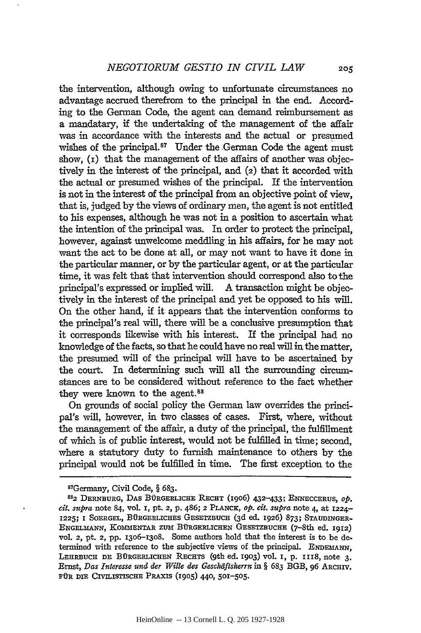the intervention, although owing to unfortunate circumstances no advantage accrued therefrom to the principal in the end. According to the German Code, the agent can demand reimbursement as a mandatary, if the undertaking of the management of the affair was in accordance with the interests and the actual or presumed wishes of the principal.<sup>87</sup> Under the German Code the agent must show, (r) that the management of the affairs of another was objectively in the interest of the principal, and (2) that it accorded with the actual or presumed wishes of the principal. If the intervention is not in the interest of the principal from an objective point of view, that is, judged by the views of ordinary men, the agent is not entitled to his expenses, although he was not in a position to ascertain what the intention of the principal was. In order to protect the principal, however, against unwelcome meddling in his affairs, for he may not want the act to be done at all, or may not want to have it done in the particular manner, or by the particular agent, or at the particular time, it was felt that that intervention should correspond also to the principal's expressed or implied will. A transaction might be objectively in the interest of the principal and yet be opposed to his will. On the other hand, if it appears that the intervention conforms to the principal's real will, there will be a conclusive presumption that it corresponds likewise with his interest. If the principal had no knowledge of the facts, so that he could have no real will in the matter, the presumed will of the principal will have to be ascertained by the court. In determining such will all the surrounding circumstances are to be considered without reference to the fact whether they were known to the agent. 88

On grounds of social policy the German law overrides the principal's will, however, in two classes of cases. First, where, without the management of the affair, a duty of the principal, the fulfillment of which is of public interest, would not be fulfilled in time; second, where a statutory duty to furnish maintenance to others by the principal would not be fulfilled in time. The first exception to the

<sup>&</sup>lt;sup>87</sup>Germany, Civil Code, § 683.<br><sup>88</sup>2 DERNBURG, DAS BÜRGERLICHE RECHT (I906) 432-433; ENNECCERUS, *op*. *cit. sttpra* note 84, vol. I, pt. 2, p. 486; *2* PLANCK, *op. cit. sttpra* note 4, at I224- 1225; I SOERGEL, BÜRGERLICHES GESETZBUCH (3d ed. 1926) 873; STAUDINGER-ENGELMANN, KOMMENTAR ZUM BURGERLICHEN GESETZBUCHE (7-8th ed. I9I2) vol. 2, pt. 2, pp. I306-I3o8. Some authors hold that the interest is to be determined with reference to the subjective views of the principal. ENDEMANN, LEHRBUCH DE BÜRGERLICHEN RECHTS (9th ed. 1903) vol. 1, p. 1118, note 3. Ernst, *Das Interesse ttnd der Wille des Geschaftsherrn* in§ 683 BGB, 96 ARCHIV. FÜR DIE CIVILISTISCHE PRAXIS (1905) 440, 501-505.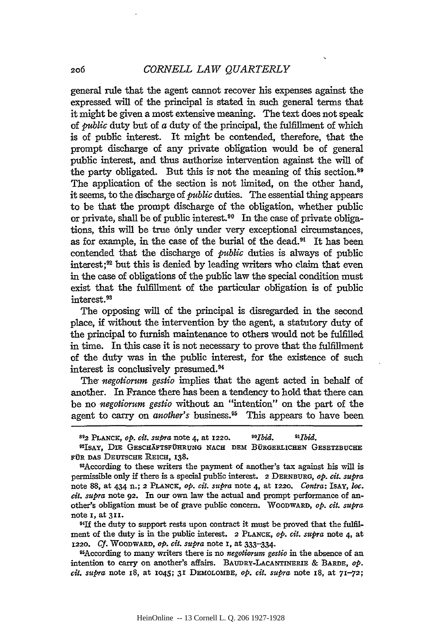general rule that the agent cannot recover his expenses against the expressed will of the principal is stated in such general terms that it might be given a most extensive meaning. The text does not speak of *public* duty but of *a* duty of the principal, the £u1fillment of which is of public interest. It might be contended, therefore, that the prompt discharge of any private obligation would be of general public interest, and thus authorize intervention against the will of the party obligated. But this is not the meaning of this section. 89 The application of the section is not limited, on the other hand, it seems, to the discharge of *public* duties. The essential thing appears to be that the prompt discharge of the obligation, whether public or private, shall be of public interest. 90 In the case of private obligations, this will be true only under very exceptional circumstances, as for example, in the case of the burial of the dead.91 It has been contended that the discharge of *public* duties is always of public interest ; 92 but this is denied by leading writers who claim that even in the case of obligations of the public law the special condition must exist that the fulfillment of the particular obligation is of public interest. 93

The opposing will of the principal is disregarded in the second place, if without the intervention by the agent, a statutory duty of the principal to furnish maintenance to others would not be £u1filled in time. In this case it is not necessary to prove that the fulfillment of the duty was in the public interest, for the existence of such interest is conclusively presumed. 94

The *negotiorum gestio* implies that the agent acted in behalf of another. In France there has been a tendency to hold that there can be no *negotiorum gestio* without an "intention" on the part of the agent to carry on *another's* business.<sup>95</sup> This appears to have been

<sup>92</sup>ISAY, DIE GESCHÄFTSFÜHRUNG NACH DEM BÜRGERLICHEN GESETZBUCHE FÜR DAS DEUTSCHE REICH, 138.

93According to these writers the payment of another's tax against his will is permissible only if there is a special public interest. 2 DERNBURG, *op. cit. supra*  note 88, at 434 n.; 2 PLANCK, *op. cit. supra* note 4, at I220. *Contra:* !sAY, *loc. cit. supra* note 92. In our own law the actual and prompt performance of another's obligation must be of grave public concern. WooDWARD, *op. cit. supra*  note I, at 3II.

<sup>91</sup>If the duty to support rests upon contract it must be proved that the fulfilment of the duty is in the public interest. 2 PLANCK, *op. cit. supra* note 4, at I220. *Cf.* WoODWARD, *op. cit. supra* note I, at 333-334·

~sAccording to many writers there is no *negotiorum gestio* in the absence of an intention to carry on another's affairs. BAUDRY-LACANTINERIE & BARDE, *op. cit. supra* note 18, at I045; 3I DEMOLOMBE, *op. cit. supra* note IS, at 71-72;

s~2 PLANCK, *op. cit. su{Jra* note 4, at I220. sozbid. *91]lJid.*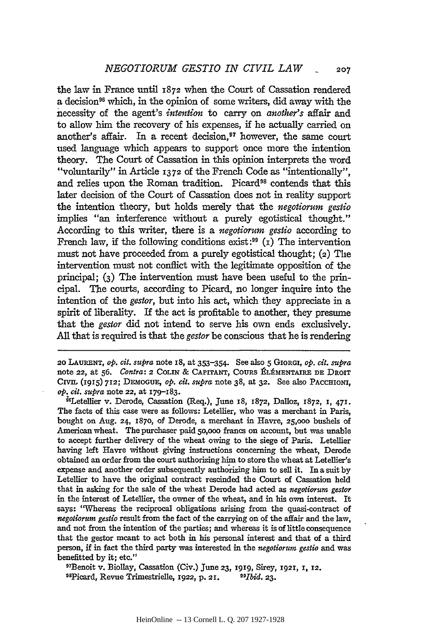the law in France until 1872 when the Court of Cassation rendered a decision<sup>96</sup> which, in the opinion of some writers, did away with the necessity of the agent's *intention* to carry on *another's* affair and to allow him the recovery of his expenses, if he actually carried on another's affair. In a recent decision, 97 however, the same court used language which appears to support once more the intention theory. The Court of Cassation in this opinion interprets the word "voluntarily" in Article 13 72 of the French Code as "intentionally", and relies upon the Roman tradition. Picard<sup>98</sup> contends that this later decision of the Court of Cassation does not in reality support the intention theory, but holds merely that the *negotiorum gestio*  implies "an interference without a purely egotistical thought." According to this writer, there is a *negotiorum gestio* according to French law, if the following conditions exist:<sup>99</sup>  $(1)$  The intervention must not have proceeded from a purely egotistical thought; (2) The intervention must not conflict with the legitimate opposition of the principal; (3) The intervention must have been useful to the principal. The courts, according to Picard, no longer inquire into the intention of the *gestor,* but into his act, which they appreciate in a spirit of liberality. If the act is profitable to another, they presume that the *gestor* did not intend to serve his own ends exclusively. All that is required is that the *gestor* be conscious that he is rendering

20 LAURENT, *op. cit. supra* note IS, at 353-354. See also 5 GIORGI, *op. cit. supra*  note 22, at 56. *Contra*: 2 COLIN & CAPITANT, COURS ÉLÉMENTAIRE DE DROIT CIVIL (I915) 7I2; DEMOGUE, *op. cit. supra* note 38, at 32. See also PACCHIONI, *op. cit. supra* note 22, at I7g-183.

96 Letellier v. Derode, Cassation (Req.), June I8, I872, Dalloz, 1872, I, 47I. The facts of this case were as follows: Letellier, who was a merchant in Paris, bought on Aug. 24, 1870, of Derode, a merchant in Havre, 25,000 bushels of American wheat. The purchaser paid 50,000 francs on account, but was unable to accept further delivery of the wheat owing to the siege of Paris. Letellier having left Havre without giving instructions concerning the wheat, Derode obtained an order from the court authorizing him to store the wheat at Letellier's expense and another order subsequently authorizing him to sell it. In a suit by Letellier to have the original contract rescinded the Court of Cassation held that in asking for the sale of the wheat Derode had acted as *negotiorum gestor*  in the interest of Letellier, the owner of the wheat, and in his own interest. It says: ''Whereas the reciprocal obligations arising from the quasi-contract of *negotiorum gestio* result from the fact of the carrying on of the affair and the law, and not from the intention of the parties; and whereas it is of little consequence that the gestor meant to act both in his personal interest and that of a third person, if in fact the third party was interested in the *negotiorum gestio* and was

<sup>97</sup>Benoit v. Biollay, Cassation (Civ.) June 23, 1919, Sirey, 1921, I, I2. 99Ficard, Revue Trimestrielle, 1922, p. 21. 99*Jbid.* 23.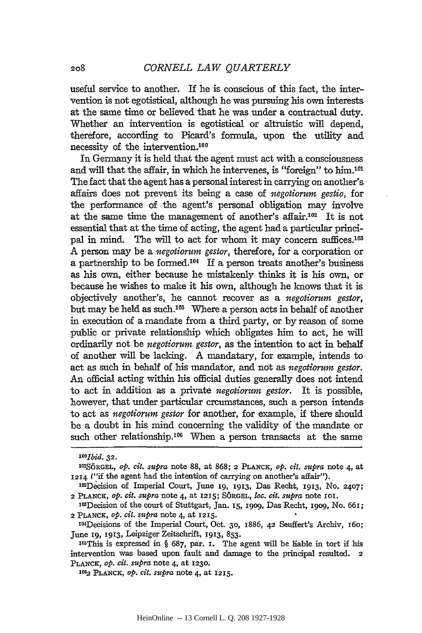useful service to another. If he is conscious of this fact, the intervention is not egotistical, although he was pursuing his own interests at the same time or believed that he was under a contractual duty. Whether an intervention is egotistical or altruistic will depend, therefore, according to Picard's formula, upon the utility and necessity of the intervention.<sup>100</sup>

In Germany it is held that the agent must act with a consciousness and will that the affair, in which he intervenes, is "foreign" to him.<sup>101</sup> The fact that the agent has a personal interest in carrying on another's affairs does not prevent its being a case of *negotiorum gestio,* for the performance of the agent's personal obligation may involve at the same time the management of another's affair.102 It is not essential that at the time of acting, the agent had a particular principal in mind. The will to act for whom it may concern suffices.<sup>103</sup> A person may be a *negotiorum gestor,* therefore, for a corporation or a partnership to be formed.104 If a person treats another's business as his own, either because he mistakenly thinks it is his own, or because he wishes to make it his own, although he knows that it is objectively another's, he cannot recover as a *negotiorum gestor,*  but may be held as such.105 Where a person acts in behalf of another in execution of a mandate from a third party, or by reason of some public or private relationship which obligates him to act, he will ordinarily not be *negotiorum gestor,* as the intention to act in behalf of another will be lacking. A mandatary, for example, intends to act as such in behalf of his mandator, and not as *negotiorum gestor.*  An official acting within his official duties generally does not intend to act in addition as a private *negotiorum gestor.* It is possible, however, that under particular crcumstances, such a person intends to act as *negotiorum gestor* for another, for example, if there should be a doubt in his mind concerning the validity of the mandate or such other relationship.<sup>106</sup> When a person transacts at the same

*IOO]bid.* 32.

tolSORGEL, *op. cit. supra* note 88, at 868; 2 PLANCK, *op. cit. supra* note 4, at I214 ("if the agent had the intention of carrying on another's affair").

<sup>102</sup>Decision of Imperial Court, June 19, 1913, Das Recht, 1913, No. 2407; 2 PLANCK, *op. cit. supra* note 4, at I215; SORGEL, *Joe. cit. sttpra* note 101.

<sup>103</sup>Decision of the court of Stuttgart, Jan. 15, 1909, Das Recht, 1909, No. 661; 2 PLANCK, *op. cit. supra* note 4, at 1215.

<sup>104</sup>Decisions of the Imperial Court, Oct. 30, 1886, 42 Seuffert's Archiv, 160; June 19, 1913, Leipziger Zeitschrift, 1913, 853.

 $105$ This is expressed in § 687, par. I. The agent will be liable in tort if his intervention was based upon fault and damage to the principal resulted. 2 PLANCK, *op. cit. supra* note 4, at I230.

<sup>105;2</sup> PLANCK, *op. cit. supra* note 4, at I215.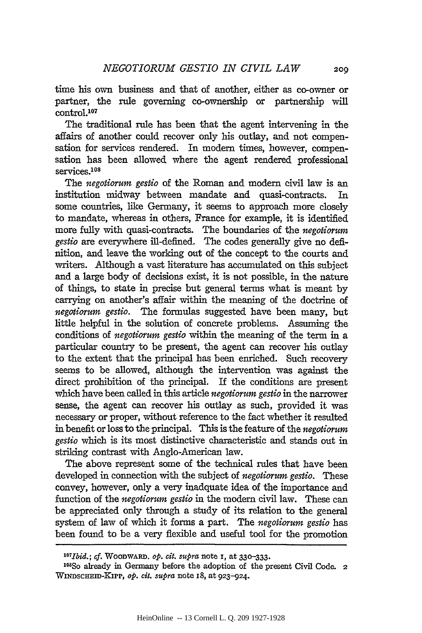time his own business and that of another, either as co-owner or partner, the rule governing co-ownership or partnership will control.107

The traditional rule has been that the agent intervening in the affairs of another could recover only his outlay, and not compensation for services rendered. In modern times, however, compensation has been allowed where the agent rendered professional services.<sup>108</sup>

The *negotiorum gestio* of the Roman and modem civil law is an institution midway between mandate and quasi-contracts. In some countries, like Germany, it seems to approach more closely to mandate, whereas in others, France for example, it is identified more fully with quasi-contracts. The boundaries of the *negotiorum gestio* are everywhere ill-defined. The codes generally give no definition, and leave the working out of the concept to the courts and writers. Although a vast literature has accumulated on this subject and a large body of decisions exist, it is not possible, in the nature of things, to state in precise but general terms what is meant by carrying on another's affair within the meaning of the doctrine of *negotiorum gestio.* The formulas suggested have been many, but little helpful in the solution of concrete problems. Assuming the conditions of *negotiorum gestio* within the meaning of the term in a particular country to be present, the agent can recover his outlay to the extent that the principal has been enriched. Such recovery seems to be allowed, although the intervention was against the direct prohibition of the principal. If the conditions are present which have been called in this article *negotiorum gestio* in the narrower sense, the agent can recover his outlay as such, provided it was necessary or proper, without reference to the fact whether it resulted in benefit or loss to the principal. This is the feature of the *negotiorum gestio* which is its most distinctive characteristic and stands out in striking contrast with Anglo-American law.

The above represent some of the technical rules that have been developed in connection with the subject of *negotiorum gestio.* These convey, however, only a very inadquate idea of the importance and function of the *negotiorum gestio* in the modem civil law. These can be appreciated only through a study of its relation to the general system of law of which it forms a part. The *negotiorum gestio* has been found to be a very flexible and useful tool for the promotion

<sup>1°7</sup>Ibid.; *cf.* WooDWARD. *op. cit. supra* note I, at 33D-333·

 $108$ So already in Germany before the adoption of the present Civil Code. 2 WINDSCHEID-KIPP, *op. cit. supra* note IS, at 923-924.